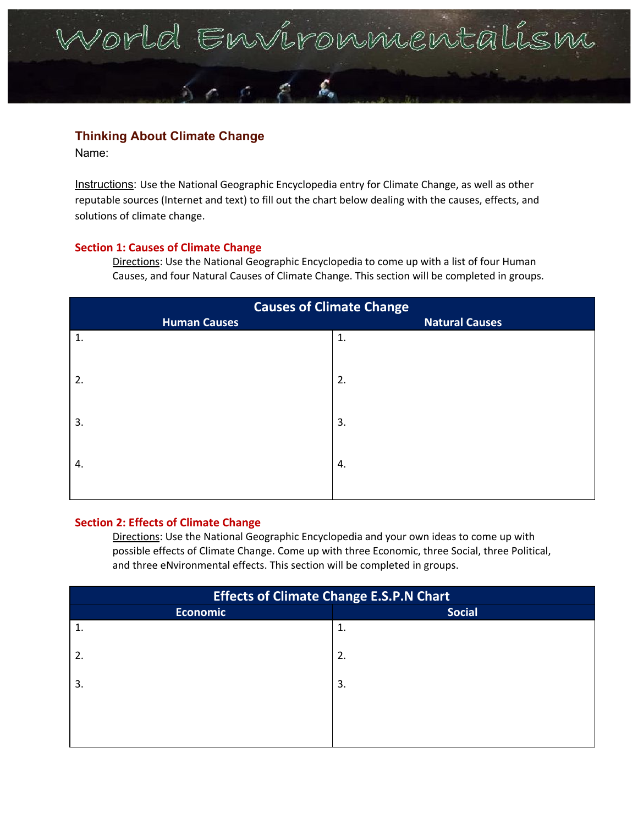# Vorld Environmentalism

# **Thinking About Climate Change**

Name:

Instructions: Use the National Geographic Encyclopedia entry for Climate Change, as well as other reputable sources (Internet and text) to fill out the chart below dealing with the causes, effects, and solutions of climate change.

## **Section 1: Causes of Climate Change**

Directions: Use the National Geographic Encyclopedia to come up with a list of four Human Causes, and four Natural Causes of Climate Change. This section will be completed in groups.

| <b>Causes of Climate Change</b><br><b>Human Causes</b> |                       |  |
|--------------------------------------------------------|-----------------------|--|
|                                                        |                       |  |
| $\mathbf{1}$ .                                         |                       |  |
| 2.                                                     |                       |  |
| 3.                                                     |                       |  |
| 4.                                                     |                       |  |
|                                                        | <b>Natural Causes</b> |  |

### **Section 2: Effects of Climate Change**

Directions: Use the National Geographic Encyclopedia and your own ideas to come up with possible effects of Climate Change. Come up with three Economic, three Social, three Political, and three eNvironmental effects. This section will be completed in groups.

| <b>Effects of Climate Change E.S.P.N Chart</b> |               |  |  |
|------------------------------------------------|---------------|--|--|
| <b>Economic</b>                                | <b>Social</b> |  |  |
| $\mathbf{1}$                                   | 1.            |  |  |
| 2.                                             | 2.            |  |  |
| 3.                                             | 3.            |  |  |
|                                                |               |  |  |
|                                                |               |  |  |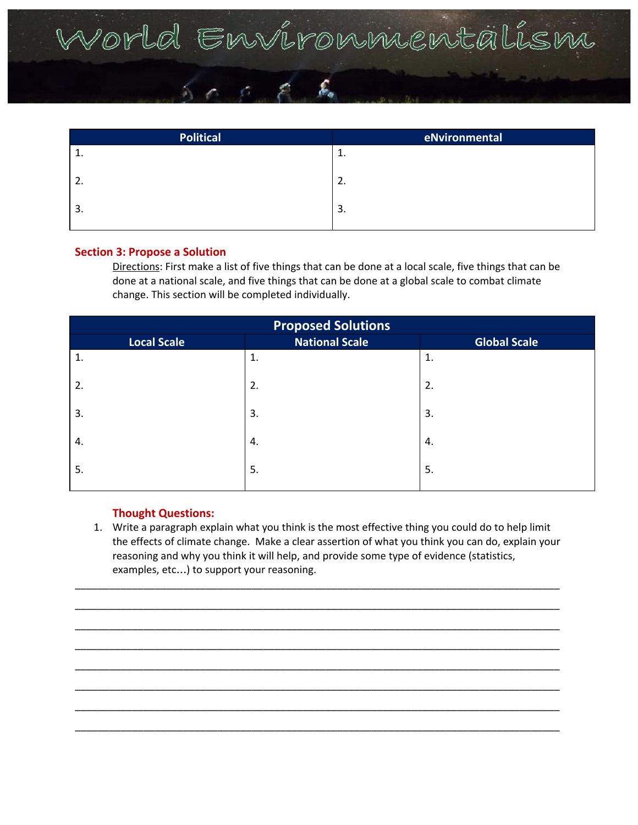# World Environmentalism

| <b>Political</b> | eNvironmental |
|------------------|---------------|
| <b>.</b>         | ᆠ.            |
| ـ ــ             | 2.            |
| 3.               | 3.            |

### **Section 3: Propose a Solution**

Directions: First make a list of five things that can be done at a local scale, five things that can be done at a national scale, and five things that can be done at a global scale to combat climate change. This section will be completed individually.

| <b>Proposed Solutions</b> |                       |                     |  |
|---------------------------|-----------------------|---------------------|--|
| <b>Local Scale</b>        | <b>National Scale</b> | <b>Global Scale</b> |  |
| 1.                        | 1.                    | 1.                  |  |
| 2.                        | 2.                    | 2.                  |  |
| 3.                        | 3.                    | 3.                  |  |
| 4.                        | 4.                    | 4.                  |  |
| 5.                        | 5.                    | 5.                  |  |

### **Thought Questions:**

1. Write a paragraph explain what you think is the most effective thing you could do to help limit the effects of climate change. Make a clear assertion of what you think you can do, explain your reasoning and why you think it will help, and provide some type of evidence (statistics, examples, etc…) to support your reasoning.

\_\_\_\_\_\_\_\_\_\_\_\_\_\_\_\_\_\_\_\_\_\_\_\_\_\_\_\_\_\_\_\_\_\_\_\_\_\_\_\_\_\_\_\_\_\_\_\_\_\_\_\_\_\_\_\_\_\_\_\_\_\_\_\_\_\_\_\_\_\_\_\_\_\_\_\_\_\_\_\_\_\_\_\_\_ \_\_\_\_\_\_\_\_\_\_\_\_\_\_\_\_\_\_\_\_\_\_\_\_\_\_\_\_\_\_\_\_\_\_\_\_\_\_\_\_\_\_\_\_\_\_\_\_\_\_\_\_\_\_\_\_\_\_\_\_\_\_\_\_\_\_\_\_\_\_\_\_\_\_\_\_\_\_\_\_\_\_\_\_\_ \_\_\_\_\_\_\_\_\_\_\_\_\_\_\_\_\_\_\_\_\_\_\_\_\_\_\_\_\_\_\_\_\_\_\_\_\_\_\_\_\_\_\_\_\_\_\_\_\_\_\_\_\_\_\_\_\_\_\_\_\_\_\_\_\_\_\_\_\_\_\_\_\_\_\_\_\_\_\_\_\_\_\_\_\_ \_\_\_\_\_\_\_\_\_\_\_\_\_\_\_\_\_\_\_\_\_\_\_\_\_\_\_\_\_\_\_\_\_\_\_\_\_\_\_\_\_\_\_\_\_\_\_\_\_\_\_\_\_\_\_\_\_\_\_\_\_\_\_\_\_\_\_\_\_\_\_\_\_\_\_\_\_\_\_\_\_\_\_\_\_ \_\_\_\_\_\_\_\_\_\_\_\_\_\_\_\_\_\_\_\_\_\_\_\_\_\_\_\_\_\_\_\_\_\_\_\_\_\_\_\_\_\_\_\_\_\_\_\_\_\_\_\_\_\_\_\_\_\_\_\_\_\_\_\_\_\_\_\_\_\_\_\_\_\_\_\_\_\_\_\_\_\_\_\_\_ \_\_\_\_\_\_\_\_\_\_\_\_\_\_\_\_\_\_\_\_\_\_\_\_\_\_\_\_\_\_\_\_\_\_\_\_\_\_\_\_\_\_\_\_\_\_\_\_\_\_\_\_\_\_\_\_\_\_\_\_\_\_\_\_\_\_\_\_\_\_\_\_\_\_\_\_\_\_\_\_\_\_\_\_\_ \_\_\_\_\_\_\_\_\_\_\_\_\_\_\_\_\_\_\_\_\_\_\_\_\_\_\_\_\_\_\_\_\_\_\_\_\_\_\_\_\_\_\_\_\_\_\_\_\_\_\_\_\_\_\_\_\_\_\_\_\_\_\_\_\_\_\_\_\_\_\_\_\_\_\_\_\_\_\_\_\_\_\_\_\_ \_\_\_\_\_\_\_\_\_\_\_\_\_\_\_\_\_\_\_\_\_\_\_\_\_\_\_\_\_\_\_\_\_\_\_\_\_\_\_\_\_\_\_\_\_\_\_\_\_\_\_\_\_\_\_\_\_\_\_\_\_\_\_\_\_\_\_\_\_\_\_\_\_\_\_\_\_\_\_\_\_\_\_\_\_